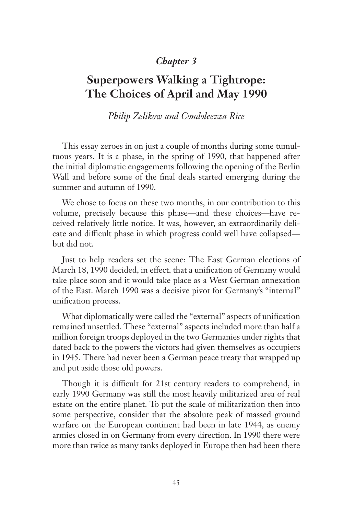## *Chapter 3*

# **Superpowers Walking a Tightrope: The Choices of April and May 1990**

*Philip Zelikow and Condoleezza Rice*

This essay zeroes in on just a couple of months during some tumultuous years. It is a phase, in the spring of 1990, that happened after the initial diplomatic engagements following the opening of the Berlin Wall and before some of the final deals started emerging during the summer and autumn of 1990.

We chose to focus on these two months, in our contribution to this volume, precisely because this phase—and these choices—have received relatively little notice. It was, however, an extraordinarily delicate and difficult phase in which progress could well have collapsed but did not.

Just to help readers set the scene: The East German elections of March 18, 1990 decided, in effect, that a unification of Germany would take place soon and it would take place as a West German annexation of the East. March 1990 was a decisive pivot for Germany's "internal" unification process.

What diplomatically were called the "external" aspects of unification remained unsettled. These "external" aspects included more than half a million foreign troops deployed in the two Germanies under rights that dated back to the powers the victors had given themselves as occupiers in 1945. There had never been a German peace treaty that wrapped up and put aside those old powers.

Though it is difficult for 21st century readers to comprehend, in early 1990 Germany was still the most heavily militarized area of real estate on the entire planet. To put the scale of militarization then into some perspective, consider that the absolute peak of massed ground warfare on the European continent had been in late 1944, as enemy armies closed in on Germany from every direction. In 1990 there were more than twice as many tanks deployed in Europe then had been there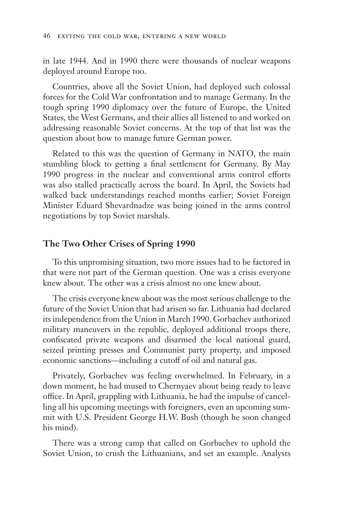in late 1944. And in 1990 there were thousands of nuclear weapons deployed around Europe too.

Countries, above all the Soviet Union, had deployed such colossal forces for the Cold War confrontation and to manage Germany. In the tough spring 1990 diplomacy over the future of Europe, the United States, the West Germans, and their allies all listened to and worked on addressing reasonable Soviet concerns. At the top of that list was the question about how to manage future German power.

Related to this was the question of Germany in NATO, the main stumbling block to getting a final settlement for Germany. By May 1990 progress in the nuclear and conventional arms control efforts was also stalled practically across the board. In April, the Soviets had walked back understandings reached months earlier; Soviet Foreign Minister Eduard Shevardnadze was being joined in the arms control negotiations by top Soviet marshals.

### **The Two Other Crises of Spring 1990**

To this unpromising situation, two more issues had to be factored in that were not part of the German question. One was a crisis everyone knew about. The other was a crisis almost no one knew about.

The crisis everyone knew about was the most serious challenge to the future of the Soviet Union that had arisen so far. Lithuania had declared its independence from the Union in March 1990. Gorbachev authorized military maneuvers in the republic, deployed additional troops there, confiscated private weapons and disarmed the local national guard, seized printing presses and Communist party property, and imposed economic sanctions—including a cutoff of oil and natural gas.

Privately, Gorbachev was feeling overwhelmed. In February, in a down moment, he had mused to Chernyaev about being ready to leave office. In April, grappling with Lithuania, he had the impulse of cancelling all his upcoming meetings with foreigners, even an upcoming summit with U.S. President George H.W. Bush (though he soon changed his mind).

There was a strong camp that called on Gorbachev to uphold the Soviet Union, to crush the Lithuanians, and set an example. Analysts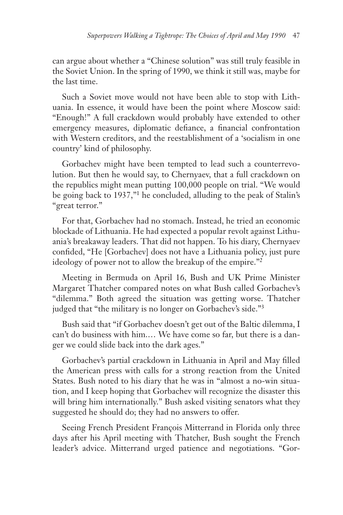can argue about whether a "Chinese solution" was still truly feasible in the Soviet Union. In the spring of 1990, we think it still was, maybe for the last time.

Such a Soviet move would not have been able to stop with Lithuania. In essence, it would have been the point where Moscow said: "Enough!" A full crackdown would probably have extended to other emergency measures, diplomatic defiance, a financial confrontation with Western creditors, and the reestablishment of a 'socialism in one country' kind of philosophy.

Gorbachev might have been tempted to lead such a counterrevolution. But then he would say, to Chernyaev, that a full crackdown on the republics might mean putting 100,000 people on trial. "We would be going back to 1937,"1 he concluded, alluding to the peak of Stalin's "great terror."

For that, Gorbachev had no stomach. Instead, he tried an economic blockade of Lithuania. He had expected a popular revolt against Lithuania's breakaway leaders. That did not happen. To his diary, Chernyaev confided, "He [Gorbachev] does not have a Lithuania policy, just pure ideology of power not to allow the breakup of the empire."2

Meeting in Bermuda on April 16, Bush and UK Prime Minister Margaret Thatcher compared notes on what Bush called Gorbachev's "dilemma." Both agreed the situation was getting worse. Thatcher judged that "the military is no longer on Gorbachev's side."3

Bush said that "if Gorbachev doesn't get out of the Baltic dilemma, I can't do business with him.… We have come so far, but there is a danger we could slide back into the dark ages."

Gorbachev's partial crackdown in Lithuania in April and May filled the American press with calls for a strong reaction from the United States. Bush noted to his diary that he was in "almost a no-win situation, and I keep hoping that Gorbachev will recognize the disaster this will bring him internationally." Bush asked visiting senators what they suggested he should do; they had no answers to offer.

Seeing French President François Mitterrand in Florida only three days after his April meeting with Thatcher, Bush sought the French leader's advice. Mitterrand urged patience and negotiations. "Gor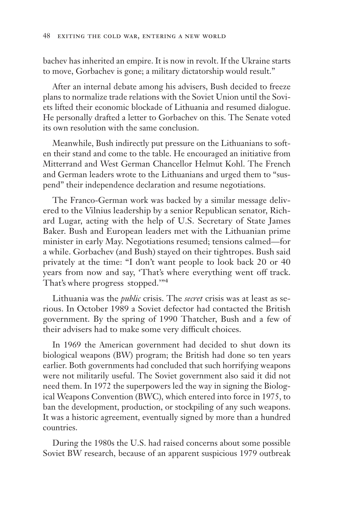bachev has inherited an empire. It is now in revolt. If the Ukraine starts to move, Gorbachev is gone; a military dictatorship would result."

After an internal debate among his advisers, Bush decided to freeze plans to normalize trade relations with the Soviet Union until the Soviets lifted their economic blockade of Lithuania and resumed dialogue. He personally drafted a letter to Gorbachev on this. The Senate voted its own resolution with the same conclusion.

Meanwhile, Bush indirectly put pressure on the Lithuanians to soften their stand and come to the table. He encouraged an initiative from Mitterrand and West German Chancellor Helmut Kohl. The French and German leaders wrote to the Lithuanians and urged them to "suspend" their independence declaration and resume negotiations.

The Franco-German work was backed by a similar message delivered to the Vilnius leadership by a senior Republican senator, Richard Lugar, acting with the help of U.S. Secretary of State James Baker. Bush and European leaders met with the Lithuanian prime minister in early May. Negotiations resumed; tensions calmed—for a while. Gorbachev (and Bush) stayed on their tightropes. Bush said privately at the time: "I don't want people to look back 20 or 40 years from now and say, 'That's where everything went off track. That's where progress stopped.'"4

Lithuania was the *public* crisis. The *secret* crisis was at least as serious. In October 1989 a Soviet defector had contacted the British government. By the spring of 1990 Thatcher, Bush and a few of their advisers had to make some very difficult choices.

In 1969 the American government had decided to shut down its biological weapons (BW) program; the British had done so ten years earlier. Both governments had concluded that such horrifying weapons were not militarily useful. The Soviet government also said it did not need them. In 1972 the superpowers led the way in signing the Biological Weapons Convention (BWC), which entered into force in 1975, to ban the development, production, or stockpiling of any such weapons. It was a historic agreement, eventually signed by more than a hundred countries.

During the 1980s the U.S. had raised concerns about some possible Soviet BW research, because of an apparent suspicious 1979 outbreak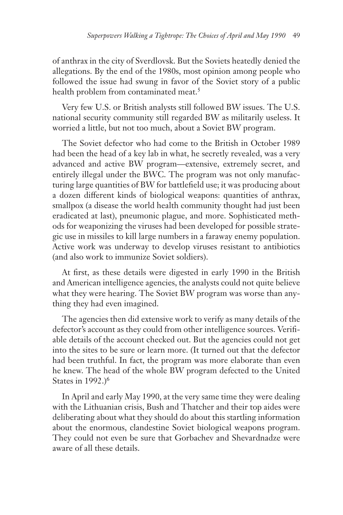of anthrax in the city of Sverdlovsk. But the Soviets heatedly denied the allegations. By the end of the 1980s, most opinion among people who followed the issue had swung in favor of the Soviet story of a public health problem from contaminated meat.<sup>5</sup>

Very few U.S. or British analysts still followed BW issues. The U.S. national security community still regarded BW as militarily useless. It worried a little, but not too much, about a Soviet BW program.

The Soviet defector who had come to the British in October 1989 had been the head of a key lab in what, he secretly revealed, was a very advanced and active BW program—extensive, extremely secret, and entirely illegal under the BWC. The program was not only manufacturing large quantities of BW for battlefield use; it was producing about a dozen different kinds of biological weapons: quantities of anthrax, smallpox (a disease the world health community thought had just been eradicated at last), pneumonic plague, and more. Sophisticated methods for weaponizing the viruses had been developed for possible strategic use in missiles to kill large numbers in a faraway enemy population. Active work was underway to develop viruses resistant to antibiotics (and also work to immunize Soviet soldiers).

At first, as these details were digested in early 1990 in the British and American intelligence agencies, the analysts could not quite believe what they were hearing. The Soviet BW program was worse than anything they had even imagined.

The agencies then did extensive work to verify as many details of the defector's account as they could from other intelligence sources. Verifiable details of the account checked out. But the agencies could not get into the sites to be sure or learn more. (It turned out that the defector had been truthful. In fact, the program was more elaborate than even he knew. The head of the whole BW program defected to the United States in 1992.)<sup>6</sup>

In April and early May 1990, at the very same time they were dealing with the Lithuanian crisis, Bush and Thatcher and their top aides were deliberating about what they should do about this startling information about the enormous, clandestine Soviet biological weapons program. They could not even be sure that Gorbachev and Shevardnadze were aware of all these details.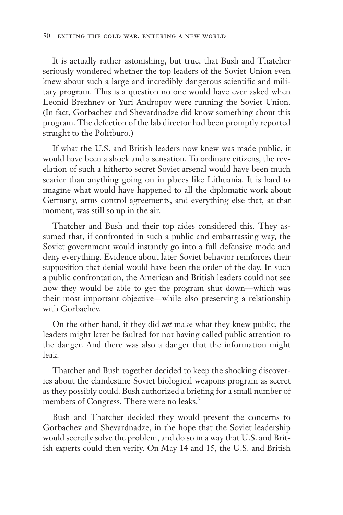It is actually rather astonishing, but true, that Bush and Thatcher seriously wondered whether the top leaders of the Soviet Union even knew about such a large and incredibly dangerous scientific and military program. This is a question no one would have ever asked when Leonid Brezhnev or Yuri Andropov were running the Soviet Union. (In fact, Gorbachev and Shevardnadze did know something about this program. The defection of the lab director had been promptly reported straight to the Politburo.)

If what the U.S. and British leaders now knew was made public, it would have been a shock and a sensation. To ordinary citizens, the revelation of such a hitherto secret Soviet arsenal would have been much scarier than anything going on in places like Lithuania. It is hard to imagine what would have happened to all the diplomatic work about Germany, arms control agreements, and everything else that, at that moment, was still so up in the air.

Thatcher and Bush and their top aides considered this. They assumed that, if confronted in such a public and embarrassing way, the Soviet government would instantly go into a full defensive mode and deny everything. Evidence about later Soviet behavior reinforces their supposition that denial would have been the order of the day. In such a public confrontation, the American and British leaders could not see how they would be able to get the program shut down—which was their most important objective—while also preserving a relationship with Gorbachev.

On the other hand, if they did *not* make what they knew public, the leaders might later be faulted for not having called public attention to the danger. And there was also a danger that the information might leak.

Thatcher and Bush together decided to keep the shocking discoveries about the clandestine Soviet biological weapons program as secret as they possibly could. Bush authorized a briefing for a small number of members of Congress. There were no leaks.7

Bush and Thatcher decided they would present the concerns to Gorbachev and Shevardnadze, in the hope that the Soviet leadership would secretly solve the problem, and do so in a way that U.S. and British experts could then verify. On May 14 and 15, the U.S. and British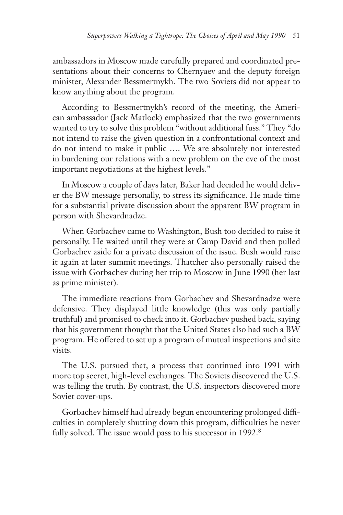ambassadors in Moscow made carefully prepared and coordinated presentations about their concerns to Chernyaev and the deputy foreign minister, Alexander Bessmertnykh. The two Soviets did not appear to know anything about the program.

According to Bessmertnykh's record of the meeting, the American ambassador (Jack Matlock) emphasized that the two governments wanted to try to solve this problem "without additional fuss." They "do not intend to raise the given question in a confrontational context and do not intend to make it public …. We are absolutely not interested in burdening our relations with a new problem on the eve of the most important negotiations at the highest levels."

In Moscow a couple of days later, Baker had decided he would deliver the BW message personally, to stress its significance. He made time for a substantial private discussion about the apparent BW program in person with Shevardnadze.

When Gorbachev came to Washington, Bush too decided to raise it personally. He waited until they were at Camp David and then pulled Gorbachev aside for a private discussion of the issue. Bush would raise it again at later summit meetings. Thatcher also personally raised the issue with Gorbachev during her trip to Moscow in June 1990 (her last as prime minister).

The immediate reactions from Gorbachev and Shevardnadze were defensive. They displayed little knowledge (this was only partially truthful) and promised to check into it. Gorbachev pushed back, saying that his government thought that the United States also had such a BW program. He offered to set up a program of mutual inspections and site visits.

The U.S. pursued that, a process that continued into 1991 with more top secret, high-level exchanges. The Soviets discovered the U.S. was telling the truth. By contrast, the U.S. inspectors discovered more Soviet cover-ups.

Gorbachev himself had already begun encountering prolonged difficulties in completely shutting down this program, difficulties he never fully solved. The issue would pass to his successor in 1992.<sup>8</sup>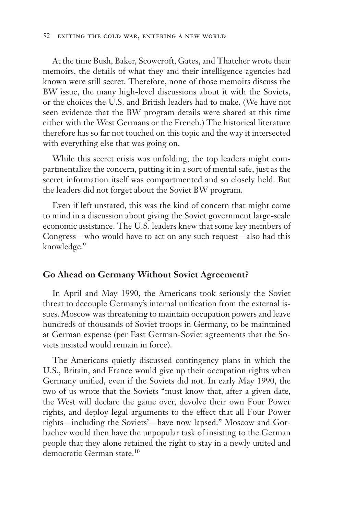At the time Bush, Baker, Scowcroft, Gates, and Thatcher wrote their memoirs, the details of what they and their intelligence agencies had known were still secret. Therefore, none of those memoirs discuss the BW issue, the many high-level discussions about it with the Soviets, or the choices the U.S. and British leaders had to make. (We have not seen evidence that the BW program details were shared at this time either with the West Germans or the French.) The historical literature therefore has so far not touched on this topic and the way it intersected with everything else that was going on.

While this secret crisis was unfolding, the top leaders might compartmentalize the concern, putting it in a sort of mental safe, just as the secret information itself was compartmented and so closely held. But the leaders did not forget about the Soviet BW program.

Even if left unstated, this was the kind of concern that might come to mind in a discussion about giving the Soviet government large-scale economic assistance. The U.S. leaders knew that some key members of Congress—who would have to act on any such request—also had this knowledge.<sup>9</sup>

### **Go Ahead on Germany Without Soviet Agreement?**

In April and May 1990, the Americans took seriously the Soviet threat to decouple Germany's internal unification from the external issues. Moscow was threatening to maintain occupation powers and leave hundreds of thousands of Soviet troops in Germany, to be maintained at German expense (per East German-Soviet agreements that the Soviets insisted would remain in force).

The Americans quietly discussed contingency plans in which the U.S., Britain, and France would give up their occupation rights when Germany unified, even if the Soviets did not. In early May 1990, the two of us wrote that the Soviets "must know that, after a given date, the West will declare the game over, devolve their own Four Power rights, and deploy legal arguments to the effect that all Four Power rights—including the Soviets'—have now lapsed." Moscow and Gorbachev would then have the unpopular task of insisting to the German people that they alone retained the right to stay in a newly united and democratic German state.10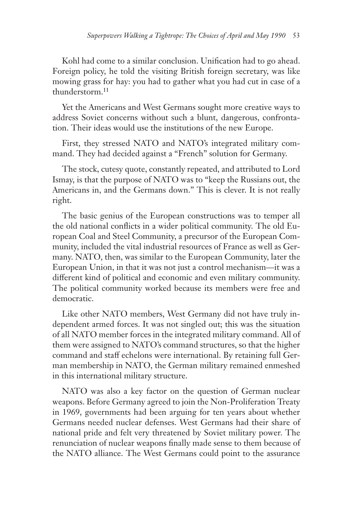Kohl had come to a similar conclusion. Unification had to go ahead. Foreign policy, he told the visiting British foreign secretary, was like mowing grass for hay: you had to gather what you had cut in case of a thunderstorm.11

Yet the Americans and West Germans sought more creative ways to address Soviet concerns without such a blunt, dangerous, confrontation. Their ideas would use the institutions of the new Europe.

First, they stressed NATO and NATO's integrated military command. They had decided against a "French" solution for Germany.

The stock, cutesy quote, constantly repeated, and attributed to Lord Ismay, is that the purpose of NATO was to "keep the Russians out, the Americans in, and the Germans down." This is clever. It is not really right.

The basic genius of the European constructions was to temper all the old national conflicts in a wider political community. The old European Coal and Steel Community, a precursor of the European Community, included the vital industrial resources of France as well as Germany. NATO, then, was similar to the European Community, later the European Union, in that it was not just a control mechanism—it was a different kind of political and economic and even military community. The political community worked because its members were free and democratic.

Like other NATO members, West Germany did not have truly independent armed forces. It was not singled out; this was the situation of all NATO member forces in the integrated military command. All of them were assigned to NATO's command structures, so that the higher command and staff echelons were international. By retaining full German membership in NATO, the German military remained enmeshed in this international military structure.

NATO was also a key factor on the question of German nuclear weapons. Before Germany agreed to join the Non-Proliferation Treaty in 1969, governments had been arguing for ten years about whether Germans needed nuclear defenses. West Germans had their share of national pride and felt very threatened by Soviet military power. The renunciation of nuclear weapons finally made sense to them because of the NATO alliance. The West Germans could point to the assurance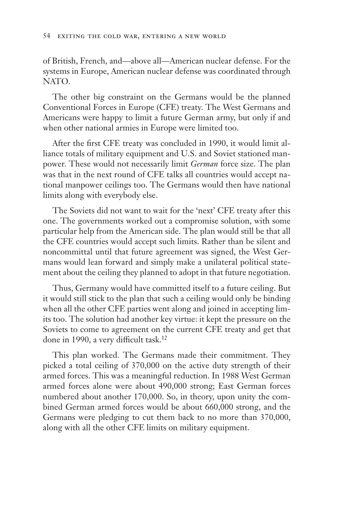of British, French, and—above all—American nuclear defense. For the systems in Europe, American nuclear defense was coordinated through NATO.

The other big constraint on the Germans would be the planned Conventional Forces in Europe (CFE) treaty. The West Germans and Americans were happy to limit a future German army, but only if and when other national armies in Europe were limited too.

After the first CFE treaty was concluded in 1990, it would limit alliance totals of military equipment and U.S. and Soviet stationed manpower. These would not necessarily limit *German* force size. The plan was that in the next round of CFE talks all countries would accept national manpower ceilings too. The Germans would then have national limits along with everybody else.

The Soviets did not want to wait for the 'next' CFE treaty after this one. The governments worked out a compromise solution, with some particular help from the American side. The plan would still be that all the CFE countries would accept such limits. Rather than be silent and noncommittal until that future agreement was signed, the West Germans would lean forward and simply make a unilateral political statement about the ceiling they planned to adopt in that future negotiation.

Thus, Germany would have committed itself to a future ceiling. But it would still stick to the plan that such a ceiling would only be binding when all the other CFE parties went along and joined in accepting limits too. The solution had another key virtue: it kept the pressure on the Soviets to come to agreement on the current CFE treaty and get that done in 1990, a very difficult task.<sup>12</sup>

This plan worked. The Germans made their commitment. They picked a total ceiling of 370,000 on the active duty strength of their armed forces. This was a meaningful reduction. In 1988 West German armed forces alone were about 490,000 strong; East German forces numbered about another 170,000. So, in theory, upon unity the combined German armed forces would be about 660,000 strong, and the Germans were pledging to cut them back to no more than 370,000, along with all the other CFE limits on military equipment.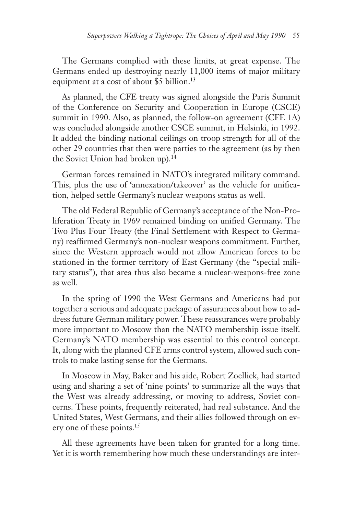The Germans complied with these limits, at great expense. The Germans ended up destroying nearly 11,000 items of major military equipment at a cost of about \$5 billion.<sup>13</sup>

As planned, the CFE treaty was signed alongside the Paris Summit of the Conference on Security and Cooperation in Europe (CSCE) summit in 1990. Also, as planned, the follow-on agreement (CFE 1A) was concluded alongside another CSCE summit, in Helsinki, in 1992. It added the binding national ceilings on troop strength for all of the other 29 countries that then were parties to the agreement (as by then the Soviet Union had broken up).<sup>14</sup>

German forces remained in NATO's integrated military command. This, plus the use of 'annexation/takeover' as the vehicle for unification, helped settle Germany's nuclear weapons status as well.

The old Federal Republic of Germany's acceptance of the Non-Proliferation Treaty in 1969 remained binding on unified Germany. The Two Plus Four Treaty (the Final Settlement with Respect to Germany) reaffirmed Germany's non-nuclear weapons commitment. Further, since the Western approach would not allow American forces to be stationed in the former territory of East Germany (the "special military status"), that area thus also became a nuclear-weapons-free zone as well.

In the spring of 1990 the West Germans and Americans had put together a serious and adequate package of assurances about how to address future German military power. These reassurances were probably more important to Moscow than the NATO membership issue itself. Germany's NATO membership was essential to this control concept. It, along with the planned CFE arms control system, allowed such controls to make lasting sense for the Germans.

In Moscow in May, Baker and his aide, Robert Zoellick, had started using and sharing a set of 'nine points' to summarize all the ways that the West was already addressing, or moving to address, Soviet concerns. These points, frequently reiterated, had real substance. And the United States, West Germans, and their allies followed through on every one of these points.15

All these agreements have been taken for granted for a long time. Yet it is worth remembering how much these understandings are inter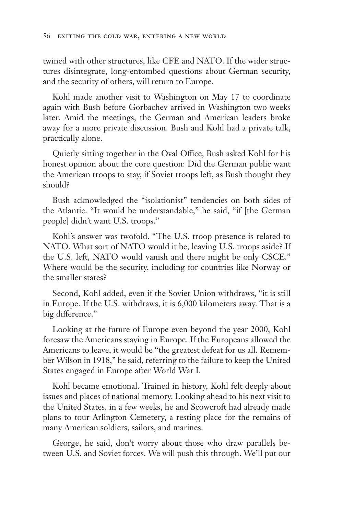twined with other structures, like CFE and NATO. If the wider structures disintegrate, long-entombed questions about German security, and the security of others, will return to Europe.

Kohl made another visit to Washington on May 17 to coordinate again with Bush before Gorbachev arrived in Washington two weeks later. Amid the meetings, the German and American leaders broke away for a more private discussion. Bush and Kohl had a private talk, practically alone.

Quietly sitting together in the Oval Office, Bush asked Kohl for his honest opinion about the core question: Did the German public want the American troops to stay, if Soviet troops left, as Bush thought they should?

Bush acknowledged the "isolationist" tendencies on both sides of the Atlantic. "It would be understandable," he said, "if [the German people] didn't want U.S. troops."

Kohl's answer was twofold. "The U.S. troop presence is related to NATO. What sort of NATO would it be, leaving U.S. troops aside? If the U.S. left, NATO would vanish and there might be only CSCE." Where would be the security, including for countries like Norway or the smaller states?

Second, Kohl added, even if the Soviet Union withdraws, "it is still in Europe. If the U.S. withdraws, it is 6,000 kilometers away. That is a big difference."

Looking at the future of Europe even beyond the year 2000, Kohl foresaw the Americans staying in Europe. If the Europeans allowed the Americans to leave, it would be "the greatest defeat for us all. Remember Wilson in 1918," he said, referring to the failure to keep the United States engaged in Europe after World War I.

Kohl became emotional. Trained in history, Kohl felt deeply about issues and places of national memory. Looking ahead to his next visit to the United States, in a few weeks, he and Scowcroft had already made plans to tour Arlington Cemetery, a resting place for the remains of many American soldiers, sailors, and marines.

George, he said, don't worry about those who draw parallels between U.S. and Soviet forces. We will push this through. We'll put our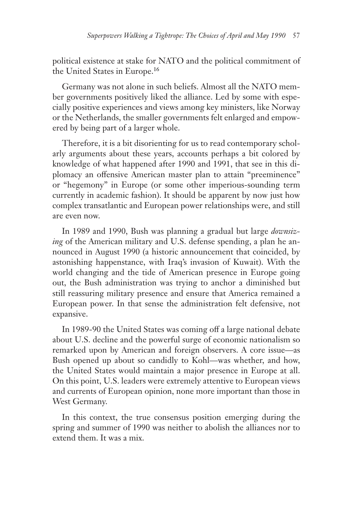political existence at stake for NATO and the political commitment of the United States in Europe.<sup>16</sup>

Germany was not alone in such beliefs. Almost all the NATO member governments positively liked the alliance. Led by some with especially positive experiences and views among key ministers, like Norway or the Netherlands, the smaller governments felt enlarged and empowered by being part of a larger whole.

Therefore, it is a bit disorienting for us to read contemporary scholarly arguments about these years, accounts perhaps a bit colored by knowledge of what happened after 1990 and 1991, that see in this diplomacy an offensive American master plan to attain "preeminence" or "hegemony" in Europe (or some other imperious-sounding term currently in academic fashion). It should be apparent by now just how complex transatlantic and European power relationships were, and still are even now.

In 1989 and 1990, Bush was planning a gradual but large *downsizing* of the American military and U.S. defense spending, a plan he announced in August 1990 (a historic announcement that coincided, by astonishing happenstance, with Iraq's invasion of Kuwait). With the world changing and the tide of American presence in Europe going out, the Bush administration was trying to anchor a diminished but still reassuring military presence and ensure that America remained a European power. In that sense the administration felt defensive, not expansive.

In 1989-90 the United States was coming off a large national debate about U.S. decline and the powerful surge of economic nationalism so remarked upon by American and foreign observers. A core issue—as Bush opened up about so candidly to Kohl—was whether, and how, the United States would maintain a major presence in Europe at all. On this point, U.S. leaders were extremely attentive to European views and currents of European opinion, none more important than those in West Germany.

In this context, the true consensus position emerging during the spring and summer of 1990 was neither to abolish the alliances nor to extend them. It was a mix.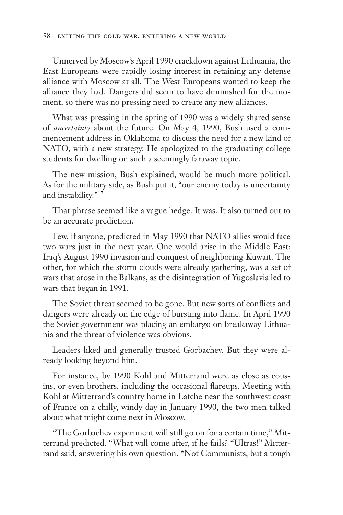Unnerved by Moscow's April 1990 crackdown against Lithuania, the East Europeans were rapidly losing interest in retaining any defense alliance with Moscow at all. The West Europeans wanted to keep the alliance they had. Dangers did seem to have diminished for the moment, so there was no pressing need to create any new alliances.

What was pressing in the spring of 1990 was a widely shared sense of *uncertainty* about the future. On May 4, 1990, Bush used a commencement address in Oklahoma to discuss the need for a new kind of NATO, with a new strategy. He apologized to the graduating college students for dwelling on such a seemingly faraway topic.

The new mission, Bush explained, would be much more political. As for the military side, as Bush put it, "our enemy today is uncertainty and instability."17

That phrase seemed like a vague hedge. It was. It also turned out to be an accurate prediction.

Few, if anyone, predicted in May 1990 that NATO allies would face two wars just in the next year. One would arise in the Middle East: Iraq's August 1990 invasion and conquest of neighboring Kuwait. The other, for which the storm clouds were already gathering, was a set of wars that arose in the Balkans, as the disintegration of Yugoslavia led to wars that began in 1991.

The Soviet threat seemed to be gone. But new sorts of conflicts and dangers were already on the edge of bursting into flame. In April 1990 the Soviet government was placing an embargo on breakaway Lithuania and the threat of violence was obvious.

Leaders liked and generally trusted Gorbachev. But they were already looking beyond him.

For instance, by 1990 Kohl and Mitterrand were as close as cousins, or even brothers, including the occasional flareups. Meeting with Kohl at Mitterrand's country home in Latche near the southwest coast of France on a chilly, windy day in January 1990, the two men talked about what might come next in Moscow.

"The Gorbachev experiment will still go on for a certain time," Mitterrand predicted. "What will come after, if he fails? "Ultras!" Mitterrand said, answering his own question. "Not Communists, but a tough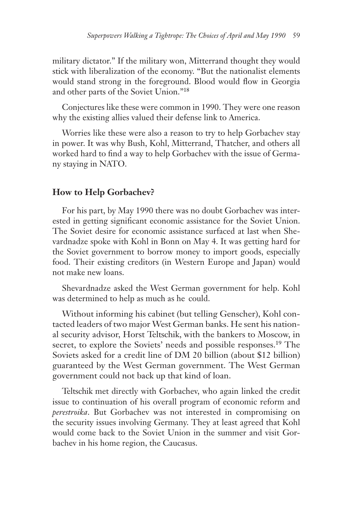military dictator." If the military won, Mitterrand thought they would stick with liberalization of the economy. "But the nationalist elements would stand strong in the foreground. Blood would flow in Georgia and other parts of the Soviet Union."18

Conjectures like these were common in 1990. They were one reason why the existing allies valued their defense link to America.

Worries like these were also a reason to try to help Gorbachev stay in power. It was why Bush, Kohl, Mitterrand, Thatcher, and others all worked hard to find a way to help Gorbachev with the issue of Germany staying in NATO.

## **How to Help Gorbachev?**

For his part, by May 1990 there was no doubt Gorbachev was interested in getting significant economic assistance for the Soviet Union. The Soviet desire for economic assistance surfaced at last when Shevardnadze spoke with Kohl in Bonn on May 4. It was getting hard for the Soviet government to borrow money to import goods, especially food. Their existing creditors (in Western Europe and Japan) would not make new loans.

Shevardnadze asked the West German government for help. Kohl was determined to help as much as he could.

Without informing his cabinet (but telling Genscher), Kohl contacted leaders of two major West German banks. He sent his national security advisor, Horst Teltschik, with the bankers to Moscow, in secret, to explore the Soviets' needs and possible responses.<sup>19</sup> The Soviets asked for a credit line of DM 20 billion (about \$12 billion) guaranteed by the West German government. The West German government could not back up that kind of loan.

Teltschik met directly with Gorbachev, who again linked the credit issue to continuation of his overall program of economic reform and *perestroika*. But Gorbachev was not interested in compromising on the security issues involving Germany. They at least agreed that Kohl would come back to the Soviet Union in the summer and visit Gorbachev in his home region, the Caucasus.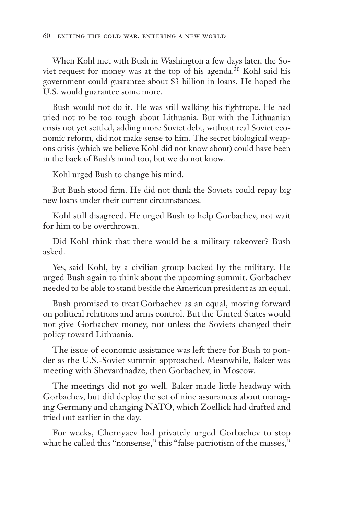When Kohl met with Bush in Washington a few days later, the Soviet request for money was at the top of his agenda.<sup>20</sup> Kohl said his government could guarantee about \$3 billion in loans. He hoped the U.S. would guarantee some more.

Bush would not do it. He was still walking his tightrope. He had tried not to be too tough about Lithuania. But with the Lithuanian crisis not yet settled, adding more Soviet debt, without real Soviet economic reform, did not make sense to him. The secret biological weapons crisis (which we believe Kohl did not know about) could have been in the back of Bush's mind too, but we do not know.

Kohl urged Bush to change his mind.

But Bush stood firm. He did not think the Soviets could repay big new loans under their current circumstances.

Kohl still disagreed. He urged Bush to help Gorbachev, not wait for him to be overthrown.

Did Kohl think that there would be a military takeover? Bush asked.

Yes, said Kohl, by a civilian group backed by the military. He urged Bush again to think about the upcoming summit. Gorbachev needed to be able to stand beside the American president as an equal.

Bush promised to treat Gorbachev as an equal, moving forward on political relations and arms control. But the United States would not give Gorbachev money, not unless the Soviets changed their policy toward Lithuania.

The issue of economic assistance was left there for Bush to ponder as the U.S.-Soviet summit approached. Meanwhile, Baker was meeting with Shevardnadze, then Gorbachev, in Moscow.

The meetings did not go well. Baker made little headway with Gorbachev, but did deploy the set of nine assurances about managing Germany and changing NATO, which Zoellick had drafted and tried out earlier in the day.

For weeks, Chernyaev had privately urged Gorbachev to stop what he called this "nonsense," this "false patriotism of the masses,"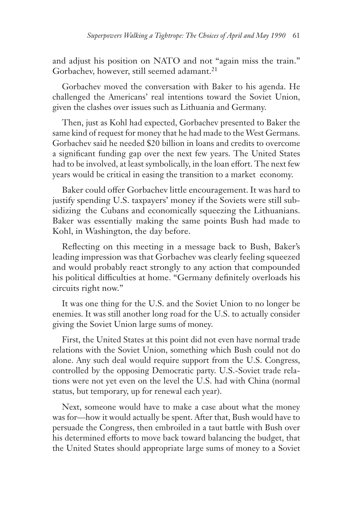and adjust his position on NATO and not "again miss the train." Gorbachev, however, still seemed adamant.<sup>21</sup>

Gorbachev moved the conversation with Baker to his agenda. He challenged the Americans' real intentions toward the Soviet Union, given the clashes over issues such as Lithuania and Germany.

Then, just as Kohl had expected, Gorbachev presented to Baker the same kind of request for money that he had made to the West Germans. Gorbachev said he needed \$20 billion in loans and credits to overcome a significant funding gap over the next few years. The United States had to be involved, at least symbolically, in the loan effort. The next few years would be critical in easing the transition to a market economy.

Baker could offer Gorbachev little encouragement. It was hard to justify spending U.S. taxpayers' money if the Soviets were still subsidizing the Cubans and economically squeezing the Lithuanians. Baker was essentially making the same points Bush had made to Kohl, in Washington, the day before.

Reflecting on this meeting in a message back to Bush, Baker's leading impression was that Gorbachev was clearly feeling squeezed and would probably react strongly to any action that compounded his political difficulties at home. "Germany definitely overloads his circuits right now."

It was one thing for the U.S. and the Soviet Union to no longer be enemies. It was still another long road for the U.S. to actually consider giving the Soviet Union large sums of money.

First, the United States at this point did not even have normal trade relations with the Soviet Union, something which Bush could not do alone. Any such deal would require support from the U.S. Congress, controlled by the opposing Democratic party. U.S.-Soviet trade relations were not yet even on the level the U.S. had with China (normal status, but temporary, up for renewal each year).

Next, someone would have to make a case about what the money was for—how it would actually be spent. After that, Bush would have to persuade the Congress, then embroiled in a taut battle with Bush over his determined efforts to move back toward balancing the budget, that the United States should appropriate large sums of money to a Soviet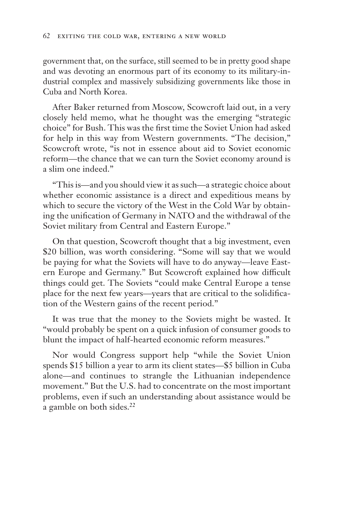government that, on the surface, still seemed to be in pretty good shape and was devoting an enormous part of its economy to its military-industrial complex and massively subsidizing governments like those in Cuba and North Korea.

After Baker returned from Moscow, Scowcroft laid out, in a very closely held memo, what he thought was the emerging "strategic choice" for Bush. This was the first time the Soviet Union had asked for help in this way from Western governments. "The decision," Scowcroft wrote, "is not in essence about aid to Soviet economic reform—the chance that we can turn the Soviet economy around is a slim one indeed."

"This is—and you should view it as such—a strategic choice about whether economic assistance is a direct and expeditious means by which to secure the victory of the West in the Cold War by obtaining the unification of Germany in NATO and the withdrawal of the Soviet military from Central and Eastern Europe."

On that question, Scowcroft thought that a big investment, even \$20 billion, was worth considering. "Some will say that we would be paying for what the Soviets will have to do anyway—leave Eastern Europe and Germany." But Scowcroft explained how difficult things could get. The Soviets "could make Central Europe a tense place for the next few years—years that are critical to the solidification of the Western gains of the recent period."

It was true that the money to the Soviets might be wasted. It "would probably be spent on a quick infusion of consumer goods to blunt the impact of half-hearted economic reform measures."

Nor would Congress support help "while the Soviet Union spends \$15 billion a year to arm its client states—\$5 billion in Cuba alone—and continues to strangle the Lithuanian independence movement." But the U.S. had to concentrate on the most important problems, even if such an understanding about assistance would be a gamble on both sides.<sup>22</sup>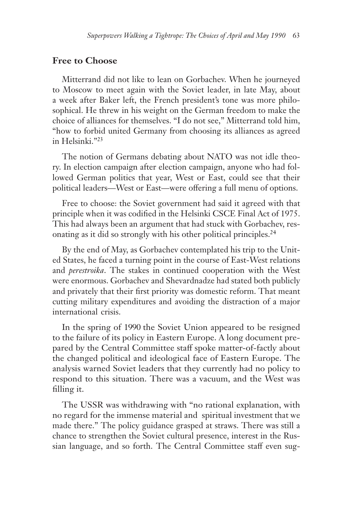## **Free to Choose**

Mitterrand did not like to lean on Gorbachev. When he journeyed to Moscow to meet again with the Soviet leader, in late May, about a week after Baker left, the French president's tone was more philosophical. He threw in his weight on the German freedom to make the choice of alliances for themselves. "I do not see," Mitterrand told him, "how to forbid united Germany from choosing its alliances as agreed in Helsinki."23

The notion of Germans debating about NATO was not idle theory. In election campaign after election campaign, anyone who had followed German politics that year, West or East, could see that their political leaders—West or East—were offering a full menu of options.

Free to choose: the Soviet government had said it agreed with that principle when it was codified in the Helsinki CSCE Final Act of 1975. This had always been an argument that had stuck with Gorbachev, resonating as it did so strongly with his other political principles.24

By the end of May, as Gorbachev contemplated his trip to the United States, he faced a turning point in the course of East-West relations and *perestroika*. The stakes in continued cooperation with the West were enormous. Gorbachev and Shevardnadze had stated both publicly and privately that their first priority was domestic reform. That meant cutting military expenditures and avoiding the distraction of a major international crisis.

In the spring of 1990 the Soviet Union appeared to be resigned to the failure of its policy in Eastern Europe. A long document prepared by the Central Committee staff spoke matter-of-factly about the changed political and ideological face of Eastern Europe. The analysis warned Soviet leaders that they currently had no policy to respond to this situation. There was a vacuum, and the West was filling it.

The USSR was withdrawing with "no rational explanation, with no regard for the immense material and spiritual investment that we made there." The policy guidance grasped at straws. There was still a chance to strengthen the Soviet cultural presence, interest in the Russian language, and so forth. The Central Committee staff even sug-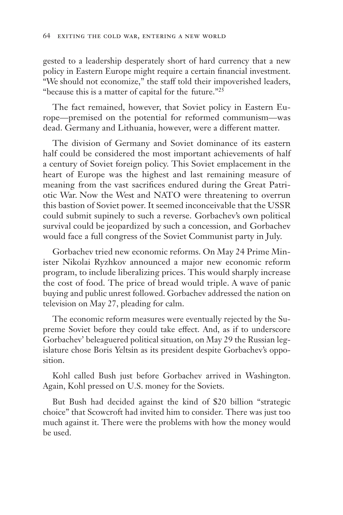gested to a leadership desperately short of hard currency that a new policy in Eastern Europe might require a certain financial investment. "We should not economize," the staff told their impoverished leaders, "because this is a matter of capital for the future."25

The fact remained, however, that Soviet policy in Eastern Europe—premised on the potential for reformed communism—was dead. Germany and Lithuania, however, were a different matter.

The division of Germany and Soviet dominance of its eastern half could be considered the most important achievements of half a century of Soviet foreign policy. This Soviet emplacement in the heart of Europe was the highest and last remaining measure of meaning from the vast sacrifices endured during the Great Patriotic War. Now the West and NATO were threatening to overrun this bastion of Soviet power. It seemed inconceivable that the USSR could submit supinely to such a reverse. Gorbachev's own political survival could be jeopardized by such a concession, and Gorbachev would face a full congress of the Soviet Communist party in July.

Gorbachev tried new economic reforms. On May 24 Prime Minister Nikolai Ryzhkov announced a major new economic reform program, to include liberalizing prices. This would sharply increase the cost of food. The price of bread would triple. A wave of panic buying and public unrest followed. Gorbachev addressed the nation on television on May 27, pleading for calm.

The economic reform measures were eventually rejected by the Supreme Soviet before they could take effect. And, as if to underscore Gorbachev' beleaguered political situation, on May 29 the Russian legislature chose Boris Yeltsin as its president despite Gorbachev's opposition.

Kohl called Bush just before Gorbachev arrived in Washington. Again, Kohl pressed on U.S. money for the Soviets.

But Bush had decided against the kind of \$20 billion "strategic choice" that Scowcroft had invited him to consider. There was just too much against it. There were the problems with how the money would be used.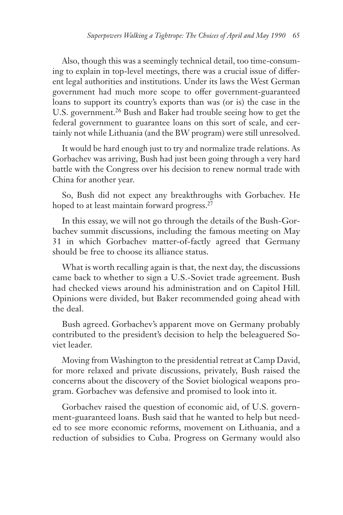Also, though this was a seemingly technical detail, too time-consuming to explain in top-level meetings, there was a crucial issue of different legal authorities and institutions. Under its laws the West German government had much more scope to offer government-guaranteed loans to support its country's exports than was (or is) the case in the U.S. government.<sup>26</sup> Bush and Baker had trouble seeing how to get the federal government to guarantee loans on this sort of scale, and certainly not while Lithuania (and the BW program) were still unresolved.

It would be hard enough just to try and normalize trade relations. As Gorbachev was arriving, Bush had just been going through a very hard battle with the Congress over his decision to renew normal trade with China for another year.

So, Bush did not expect any breakthroughs with Gorbachev. He hoped to at least maintain forward progress.<sup>27</sup>

In this essay, we will not go through the details of the Bush-Gorbachev summit discussions, including the famous meeting on May 31 in which Gorbachev matter-of-factly agreed that Germany should be free to choose its alliance status.

What is worth recalling again is that, the next day, the discussions came back to whether to sign a U.S.-Soviet trade agreement. Bush had checked views around his administration and on Capitol Hill. Opinions were divided, but Baker recommended going ahead with the deal.

Bush agreed. Gorbachev's apparent move on Germany probably contributed to the president's decision to help the beleaguered Soviet leader.

Moving from Washington to the presidential retreat at Camp David, for more relaxed and private discussions, privately, Bush raised the concerns about the discovery of the Soviet biological weapons program. Gorbachev was defensive and promised to look into it.

Gorbachev raised the question of economic aid, of U.S. government-guaranteed loans. Bush said that he wanted to help but needed to see more economic reforms, movement on Lithuania, and a reduction of subsidies to Cuba. Progress on Germany would also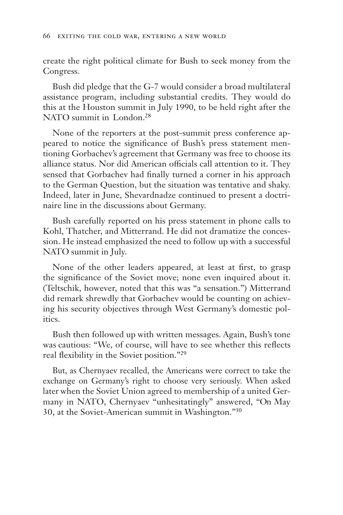create the right political climate for Bush to seek money from the Congress.

Bush did pledge that the G-7 would consider a broad multilateral assistance program, including substantial credits. They would do this at the Houston summit in July 1990, to be held right after the NATO summit in London.<sup>28</sup>

None of the reporters at the post-summit press conference appeared to notice the significance of Bush's press statement mentioning Gorbachev's agreement that Germany was free to choose its alliance status. Nor did American officials call attention to it. They sensed that Gorbachev had finally turned a corner in his approach to the German Question, but the situation was tentative and shaky. Indeed, later in June, Shevardnadze continued to present a doctrinaire line in the discussions about Germany.

Bush carefully reported on his press statement in phone calls to Kohl, Thatcher, and Mitterrand. He did not dramatize the concession. He instead emphasized the need to follow up with a successful NATO summit in July.

None of the other leaders appeared, at least at first, to grasp the significance of the Soviet move; none even inquired about it. (Teltschik, however, noted that this was "a sensation.") Mitterrand did remark shrewdly that Gorbachev would be counting on achieving his security objectives through West Germany's domestic politics.

Bush then followed up with written messages. Again, Bush's tone was cautious: "We, of course, will have to see whether this reflects real flexibility in the Soviet position."29

But, as Chernyaev recalled, the Americans were correct to take the exchange on Germany's right to choose very seriously. When asked later when the Soviet Union agreed to membership of a united Germany in NATO, Chernyaev "unhesitatingly" answered, "On May 30, at the Soviet-American summit in Washington."30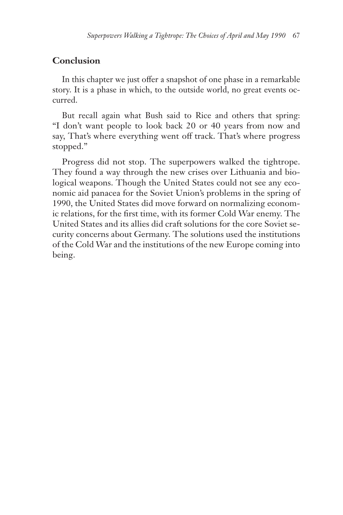## **Conclusion**

In this chapter we just offer a snapshot of one phase in a remarkable story. It is a phase in which, to the outside world, no great events occurred.

But recall again what Bush said to Rice and others that spring: "I don't want people to look back 20 or 40 years from now and say, That's where everything went off track. That's where progress stopped."

Progress did not stop. The superpowers walked the tightrope. They found a way through the new crises over Lithuania and biological weapons. Though the United States could not see any economic aid panacea for the Soviet Union's problems in the spring of 1990, the United States did move forward on normalizing economic relations, for the first time, with its former Cold War enemy. The United States and its allies did craft solutions for the core Soviet security concerns about Germany. The solutions used the institutions of the Cold War and the institutions of the new Europe coming into being.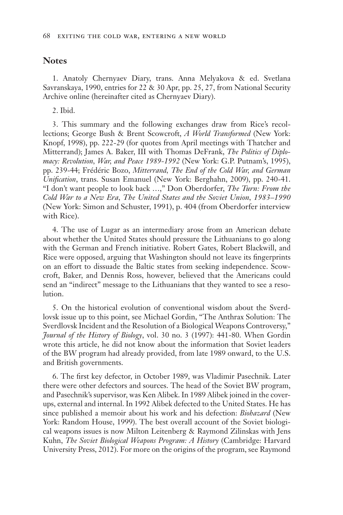#### **Notes**

1. Anatoly Chernyaev Diary, trans. Anna Melyakova & ed. Svetlana Savranskaya, 1990, entries for 22 & 30 Apr, pp. 25, 27, from National Security Archive online (hereinafter cited as Chernyaev Diary).

2. Ibid.

3. This summary and the following exchanges draw from Rice's recollections; George Bush & Brent Scowcroft, *A World Transformed* (New York: Knopf, 1998), pp. 222-29 (for quotes from April meetings with Thatcher and Mitterrand); James A. Baker, III with Thomas DeFrank, *The Politics of Diplomacy: Revolution, War, and Peace 1989-1992* (New York: G.P. Putnam's, 1995), pp. 239-44; Frédéric Bozo, *Mitterrand, The End of the Cold War, and German Unification*, trans. Susan Emanuel (New York: Berghahn, 2009), pp. 240-41. "I don't want people to look back …," Don Oberdorfer, *The Turn: From the Cold War to a New Era, The United States and the Soviet Union, 1983–1990*  (New York: Simon and Schuster, 1991), p. 404 (from Oberdorfer interview with Rice).

4. The use of Lugar as an intermediary arose from an American debate about whether the United States should pressure the Lithuanians to go along with the German and French initiative. Robert Gates, Robert Blackwill, and Rice were opposed, arguing that Washington should not leave its fingerprints on an effort to dissuade the Baltic states from seeking independence. Scowcroft, Baker, and Dennis Ross, however, believed that the Americans could send an "indirect" message to the Lithuanians that they wanted to see a resolution.

5. On the historical evolution of conventional wisdom about the Sverdlovsk issue up to this point, see Michael Gordin, "The Anthrax Solution: The Sverdlovsk Incident and the Resolution of a Biological Weapons Controversy," *Journal of the History of Biology*, vol. 30 no. 3 (1997): 441-80. When Gordin wrote this article, he did not know about the information that Soviet leaders of the BW program had already provided, from late 1989 onward, to the U.S. and British governments.

6. The first key defector, in October 1989, was Vladimir Pasechnik. Later there were other defectors and sources. The head of the Soviet BW program, and Pasechnik's supervisor, was Ken Alibek. In 1989 Alibek joined in the coverups, external and internal. In 1992 Alibek defected to the United States. He has since published a memoir about his work and his defection: *Biohazard* (New York: Random House, 1999). The best overall account of the Soviet biological weapons issues is now Milton Leitenberg & Raymond Zilinskas with Jens Kuhn, *The Soviet Biological Weapons Program: A History* (Cambridge: Harvard University Press, 2012). For more on the origins of the program, see Raymond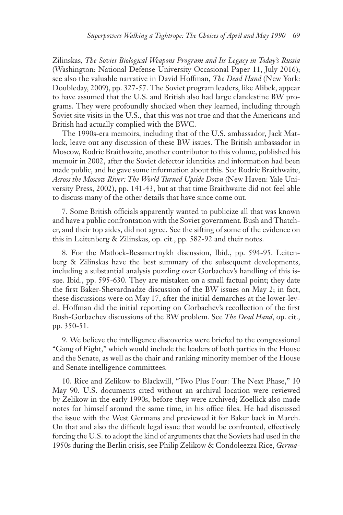Zilinskas, *The Soviet Biological Weapons Program and Its Legacy in Today's Russia*  (Washington: National Defense University Occasional Paper 11, July 2016); see also the valuable narrative in David Hoffman, *The Dead Hand* (New York: Doubleday, 2009), pp. 327-57. The Soviet program leaders, like Alibek, appear to have assumed that the U.S. and British also had large clandestine BW programs. They were profoundly shocked when they learned, including through Soviet site visits in the U.S., that this was not true and that the Americans and British had actually complied with the BWC.

The 1990s-era memoirs, including that of the U.S. ambassador, Jack Matlock, leave out any discussion of these BW issues. The British ambassador in Moscow, Rodric Braithwaite, another contributor to this volume, published his memoir in 2002, after the Soviet defector identities and information had been made public, and he gave some information about this. See Rodric Braithwaite, *Across the Moscow River: The World Turned Upside Down* (New Haven: Yale University Press, 2002), pp. 141-43, but at that time Braithwaite did not feel able to discuss many of the other details that have since come out.

7. Some British officials apparently wanted to publicize all that was known and have a public confrontation with the Soviet government. Bush and Thatcher, and their top aides, did not agree. See the sifting of some of the evidence on this in Leitenberg & Zilinskas, op. cit., pp. 582-92 and their notes.

8. For the Matlock-Bessmertnykh discussion, Ibid., pp. 594-95. Leitenberg & Zilinskas have the best summary of the subsequent developments, including a substantial analysis puzzling over Gorbachev's handling of this issue. Ibid., pp. 595-630. They are mistaken on a small factual point; they date the first Baker-Shevardnadze discussion of the BW issues on May 2; in fact, these discussions were on May 17, after the initial demarches at the lower-level. Hoffman did the initial reporting on Gorbachev's recollection of the first Bush-Gorbachev discussions of the BW problem. See *The Dead Hand*, op. cit., pp. 350-51.

9. We believe the intelligence discoveries were briefed to the congressional "Gang of Eight," which would include the leaders of both parties in the House and the Senate, as well as the chair and ranking minority member of the House and Senate intelligence committees.

10. Rice and Zelikow to Blackwill, "Two Plus Four: The Next Phase," 10 May 90. U.S. documents cited without an archival location were reviewed by Zelikow in the early 1990s, before they were archived; Zoellick also made notes for himself around the same time, in his office files. He had discussed the issue with the West Germans and previewed it for Baker back in March. On that and also the difficult legal issue that would be confronted, effectively forcing the U.S. to adopt the kind of arguments that the Soviets had used in the 1950s during the Berlin crisis, see Philip Zelikow & Condoleezza Rice, *Germa-*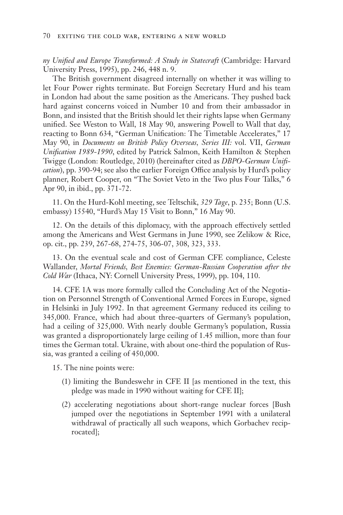*ny Unified and Europe Transformed: A Study in Statecraft* (Cambridge: Harvard University Press, 1995), pp. 246, 448 n. 9.

The British government disagreed internally on whether it was willing to let Four Power rights terminate. But Foreign Secretary Hurd and his team in London had about the same position as the Americans. They pushed back hard against concerns voiced in Number 10 and from their ambassador in Bonn, and insisted that the British should let their rights lapse when Germany unified. See Weston to Wall, 18 May 90, answering Powell to Wall that day, reacting to Bonn 634, "German Unification: The Timetable Accelerates," 17 May 90, in *Documents on British Policy Overseas, Series III:* vol. VII, *German Unification 1989-1990*, edited by Patrick Salmon, Keith Hamilton & Stephen Twigge (London: Routledge, 2010) (hereinafter cited as *DBPO-German Unification*), pp. 390-94; see also the earlier Foreign Office analysis by Hurd's policy planner, Robert Cooper, on "The Soviet Veto in the Two plus Four Talks," 6 Apr 90, in ibid., pp. 371-72.

11. On the Hurd-Kohl meeting, see Teltschik, *329 Tage*, p. 235; Bonn (U.S. embassy) 15540, "Hurd's May 15 Visit to Bonn," 16 May 90.

12. On the details of this diplomacy, with the approach effectively settled among the Americans and West Germans in June 1990, see Zelikow & Rice, op. cit., pp. 239, 267-68, 274-75, 306-07, 308, 323, 333.

13. On the eventual scale and cost of German CFE compliance, Celeste Wallander, *Mortal Friends, Best Enemies: German-Russian Cooperation after the Cold War* (Ithaca, NY: Cornell University Press, 1999), pp. 104, 110.

14. CFE 1A was more formally called the Concluding Act of the Negotiation on Personnel Strength of Conventional Armed Forces in Europe, signed in Helsinki in July 1992. In that agreement Germany reduced its ceiling to 345,000. France, which had about three-quarters of Germany's population, had a ceiling of 325,000. With nearly double Germany's population, Russia was granted a disproportionately large ceiling of 1.45 million, more than four times the German total. Ukraine, with about one-third the population of Russia, was granted a ceiling of 450,000.

15. The nine points were:

- (1) limiting the Bundeswehr in CFE II [as mentioned in the text, this pledge was made in 1990 without waiting for CFE II];
- (2) accelerating negotiations about short-range nuclear forces [Bush jumped over the negotiations in September 1991 with a unilateral withdrawal of practically all such weapons, which Gorbachev reciprocated];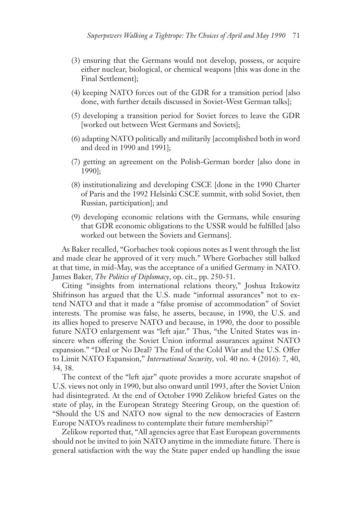- (3) ensuring that the Germans would not develop, possess, or acquire either nuclear, biological, or chemical weapons [this was done in the Final Settlement];
- (4) keeping NATO forces out of the GDR for a transition period [also done, with further details discussed in Soviet-West German talks];
- (5) developing a transition period for Soviet forces to leave the GDR [worked out between West Germans and Soviets];
- (6) adapting NATO politically and militarily [accomplished both in word and deed in 1990 and 1991];
- (7) getting an agreement on the Polish-German border [also done in 1990];
- (8) institutionalizing and developing CSCE [done in the 1990 Charter of Paris and the 1992 Helsinki CSCE summit, with solid Soviet, then Russian, participation]; and
- (9) developing economic relations with the Germans, while ensuring that GDR economic obligations to the USSR would be fulfilled [also worked out between the Soviets and Germans].

As Baker recalled, "Gorbachev took copious notes as I went through the list and made clear he approved of it very much." Where Gorbachev still balked at that time, in mid-May, was the acceptance of a unified Germany in NATO. James Baker, *The Politics of Diplomacy*, op. cit., pp. 250-51.

Citing "insights from international relations theory," Joshua Itzkowitz Shifrinson has argued that the U.S. made "informal assurances" not to extend NATO and that it made a "false promise of accommodation" of Soviet interests. The promise was false, he asserts, because, in 1990, the U.S. and its allies hoped to preserve NATO and because, in 1990, the door to possible future NATO enlargement was "left ajar." Thus, "the United States was insincere when offering the Soviet Union informal assurances against NATO expansion." "Deal or No Deal? The End of the Cold War and the U.S. Offer to Limit NATO Expansion," *International Security*, vol. 40 no. 4 (2016): 7, 40, 34, 38.

The context of the "left ajar" quote provides a more accurate snapshot of U.S. views not only in 1990, but also onward until 1993, after the Soviet Union had disintegrated. At the end of October 1990 Zelikow briefed Gates on the state of play, in the European Strategy Steering Group, on the question of: "Should the US and NATO now signal to the new democracies of Eastern Europe NATO's readiness to contemplate their future membership?"

Zelikow reported that, "All agencies agree that East European governments should not be invited to join NATO anytime in the immediate future. There is general satisfaction with the way the State paper ended up handling the issue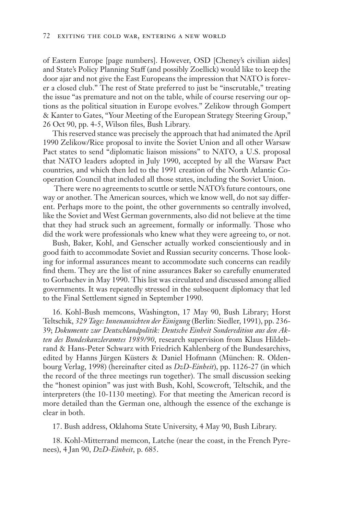of Eastern Europe [page numbers]. However, OSD [Cheney's civilian aides] and State's Policy Planning Staff (and possibly Zoellick) would like to keep the door ajar and not give the East Europeans the impression that NATO is forever a closed club." The rest of State preferred to just be "inscrutable," treating the issue "as premature and not on the table, while of course reserving our options as the political situation in Europe evolves." Zelikow through Gompert & Kanter to Gates, "Your Meeting of the European Strategy Steering Group," 26 Oct 90, pp. 4-5, Wilson files, Bush Library.

This reserved stance was precisely the approach that had animated the April 1990 Zelikow/Rice proposal to invite the Soviet Union and all other Warsaw Pact states to send "diplomatic liaison missions" to NATO, a U.S. proposal that NATO leaders adopted in July 1990, accepted by all the Warsaw Pact countries, and which then led to the 1991 creation of the North Atlantic Cooperation Council that included all those states, including the Soviet Union.

 There were no agreements to scuttle or settle NATO's future contours, one way or another. The American sources, which we know well, do not say different. Perhaps more to the point, the other governments so centrally involved, like the Soviet and West German governments, also did not believe at the time that they had struck such an agreement, formally or informally. Those who did the work were professionals who knew what they were agreeing to, or not.

Bush, Baker, Kohl, and Genscher actually worked conscientiously and in good faith to accommodate Soviet and Russian security concerns. Those looking for informal assurances meant to accommodate such concerns can readily find them. They are the list of nine assurances Baker so carefully enumerated to Gorbachev in May 1990. This list was circulated and discussed among allied governments. It was repeatedly stressed in the subsequent diplomacy that led to the Final Settlement signed in September 1990.

16. Kohl-Bush memcons, Washington, 17 May 90, Bush Library; Horst Teltschik, *329 Tage: Innenansichten der Einigung* (Berlin: Siedler, 1991), pp. 236- 39; *Dokumente zur Deutschlandpolitik: Deutsche Einheit Sonderedition aus den Akten des Bundeskanzleramtes 1989/90*, research supervision from Klaus Hildebrand & Hans-Peter Schwarz with Friedrich Kahlenberg of the Bundesarchivs, edited by Hanns Jürgen Küsters & Daniel Hofmann (München: R. Oldenbourg Verlag, 1998) (hereinafter cited as *DzD-Einheit*), pp. 1126-27 (in which the record of the three meetings run together). The small discussion seeking the "honest opinion" was just with Bush, Kohl, Scowcroft, Teltschik, and the interpreters (the 10-1130 meeting). For that meeting the American record is more detailed than the German one, although the essence of the exchange is clear in both.

17. Bush address, Oklahoma State University, 4 May 90, Bush Library.

18. Kohl-Mitterrand memcon, Latche (near the coast, in the French Pyrenees), 4 Jan 90, *DzD-Einheit*, p. 685.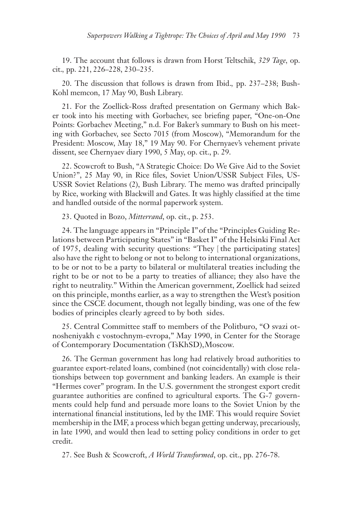19. The account that follows is drawn from Horst Teltschik, *329 Tage,* op. cit.*,* pp. 221, 226–228, 230–235.

20. The discussion that follows is drawn from Ibid.*,* pp. 237–238; Bush-Kohl memcon, 17 May 90, Bush Library.

21. For the Zoellick-Ross drafted presentation on Germany which Baker took into his meeting with Gorbachev, see briefing paper, "One-on-One Points: Gorbachev Meeting," n.d. For Baker's summary to Bush on his meeting with Gorbachev, see Secto 7015 (from Moscow), "Memorandum for the President: Moscow, May 18," 19 May 90. For Chernyaev's vehement private dissent, see Chernyaev diary 1990, 5 May, op. cit., p. 29.

22. Scowcroft to Bush, "A Strategic Choice: Do We Give Aid to the Soviet Union?", 25 May 90, in Rice files, Soviet Union/USSR Subject Files, US-USSR Soviet Relations (2), Bush Library. The memo was drafted principally by Rice, working with Blackwill and Gates. It was highly classified at the time and handled outside of the normal paperwork system.

23. Quoted in Bozo, *Mitterrand*, op. cit., p. 253.

24. The language appears in "Principle I" of the "Principles Guiding Relations between Participating States" in "Basket I" of the Helsinki Final Act of 1975, dealing with security questions: "They [ the participating states] also have the right to belong or not to belong to international organizations, to be or not to be a party to bilateral or multilateral treaties including the right to be or not to be a party to treaties of alliance; they also have the right to neutrality." Within the American government, Zoellick had seized on this principle, months earlier, as a way to strengthen the West's position since the CSCE document, though not legally binding, was one of the few bodies of principles clearly agreed to by both sides.

25. Central Committee staff to members of the Politburo, "O svazi otnosheniyakh c vostochnym-evropa," May 1990, in Center for the Storage of Contemporary Documentation (TsKhSD), Moscow.

26. The German government has long had relatively broad authorities to guarantee export-related loans, combined (not coincidentally) with close relationships between top government and banking leaders. An example is their "Hermes cover" program. In the U.S. government the strongest export credit guarantee authorities are confined to agricultural exports. The G-7 governments could help fund and persuade more loans to the Soviet Union by the international financial institutions, led by the IMF. This would require Soviet membership in the IMF, a process which began getting underway, precariously, in late 1990, and would then lead to setting policy conditions in order to get credit.

27. See Bush & Scowcroft, *A World Transformed*, op. cit., pp. 276-78.